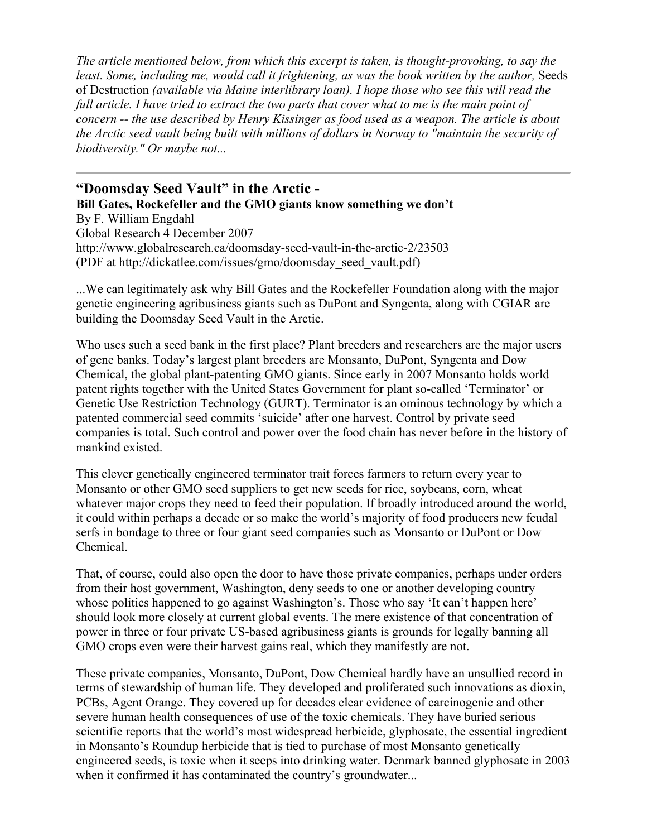*The article mentioned below, from which this excerpt is taken, is thought-provoking, to say the least. Some, including me, would call it frightening, as was the book written by the author,* Seeds of Destruction *(available via Maine interlibrary loan). I hope those who see this will read the full article. I have tried to extract the two parts that cover what to me is the main point of concern -- the use described by Henry Kissinger as food used as a weapon. The article is about the Arctic seed vault being built with millions of dollars in Norway to "maintain the security of biodiversity." Or maybe not...*

**"Doomsday Seed Vault" in the Arctic - Bill Gates, Rockefeller and the GMO giants know something we don't** By F. William Engdahl Global Research 4 December 2007 http://www.globalresearch.ca/doomsday-seed-vault-in-the-arctic-2/23503 (PDF at http://dickatlee.com/issues/gmo/doomsday\_seed\_vault.pdf)

...We can legitimately ask why Bill Gates and the Rockefeller Foundation along with the major genetic engineering agribusiness giants such as DuPont and Syngenta, along with CGIAR are building the Doomsday Seed Vault in the Arctic.

Who uses such a seed bank in the first place? Plant breeders and researchers are the major users of gene banks. Today's largest plant breeders are Monsanto, DuPont, Syngenta and Dow Chemical, the global plant-patenting GMO giants. Since early in 2007 Monsanto holds world patent rights together with the United States Government for plant so-called 'Terminator' or Genetic Use Restriction Technology (GURT). Terminator is an ominous technology by which a patented commercial seed commits 'suicide' after one harvest. Control by private seed companies is total. Such control and power over the food chain has never before in the history of mankind existed.

This clever genetically engineered terminator trait forces farmers to return every year to Monsanto or other GMO seed suppliers to get new seeds for rice, soybeans, corn, wheat whatever major crops they need to feed their population. If broadly introduced around the world, it could within perhaps a decade or so make the world's majority of food producers new feudal serfs in bondage to three or four giant seed companies such as Monsanto or DuPont or Dow Chemical.

That, of course, could also open the door to have those private companies, perhaps under orders from their host government, Washington, deny seeds to one or another developing country whose politics happened to go against Washington's. Those who say 'It can't happen here' should look more closely at current global events. The mere existence of that concentration of power in three or four private US-based agribusiness giants is grounds for legally banning all GMO crops even were their harvest gains real, which they manifestly are not.

These private companies, Monsanto, DuPont, Dow Chemical hardly have an unsullied record in terms of stewardship of human life. They developed and proliferated such innovations as dioxin, PCBs, Agent Orange. They covered up for decades clear evidence of carcinogenic and other severe human health consequences of use of the toxic chemicals. They have buried serious scientific reports that the world's most widespread herbicide, glyphosate, the essential ingredient in Monsanto's Roundup herbicide that is tied to purchase of most Monsanto genetically engineered seeds, is toxic when it seeps into drinking water. Denmark banned glyphosate in 2003 when it confirmed it has contaminated the country's groundwater...